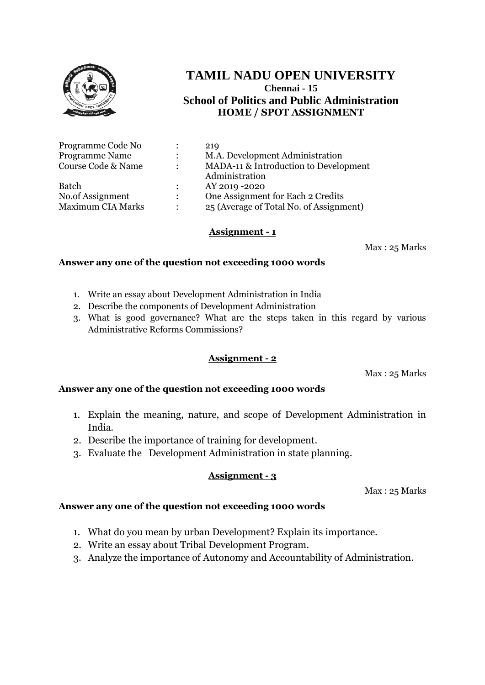

| Programme Code No        | $\ddot{\cdot}$ | 219                                     |
|--------------------------|----------------|-----------------------------------------|
| <b>Programme Name</b>    | $\ddot{\cdot}$ | M.A. Development Administration         |
| Course Code & Name       | $\ddot{\cdot}$ | MADA-11 & Introduction to Development   |
|                          |                | Administration                          |
| <b>Batch</b>             | $\mathcal{L}$  | AY 2019 - 2020                          |
| No.of Assignment         | $\ddot{\cdot}$ | One Assignment for Each 2 Credits       |
| <b>Maximum CIA Marks</b> | $\bullet$      | 25 (Average of Total No. of Assignment) |

#### **Assignment - 1**

Max : 25 Marks

#### **Answer any one of the question not exceeding 1000 words**

- 1. Write an essay about Development Administration in India
- 2. Describe the components of Development Administration
- 3. What is good governance? What are the steps taken in this regard by various Administrative Reforms Commissions?

#### **Assignment - 2**

Max : 25 Marks

#### **Answer any one of the question not exceeding 1000 words**

- 1. Explain the meaning, nature, and scope of Development Administration in India.
- 2. Describe the importance of training for development.
- 3. Evaluate the Development Administration in state planning.

#### **Assignment - 3**

Max : 25 Marks

- 1. What do you mean by urban Development? Explain its importance.
- 2. Write an essay about Tribal Development Program.
- 3. Analyze the importance of Autonomy and Accountability of Administration.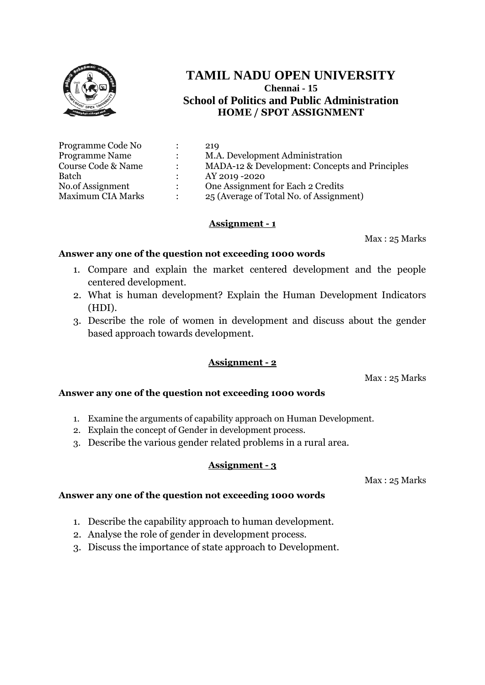

| Programme Code No        |               | 219                                            |
|--------------------------|---------------|------------------------------------------------|
| <b>Programme Name</b>    |               | M.A. Development Administration                |
| Course Code & Name       |               | MADA-12 & Development: Concepts and Principles |
| Batch                    |               | AY 2019 -2020                                  |
| No.of Assignment         | $\mathcal{L}$ | One Assignment for Each 2 Credits              |
| <b>Maximum CIA Marks</b> |               | 25 (Average of Total No. of Assignment)        |

## **Assignment - 1**

Max : 25 Marks

### **Answer any one of the question not exceeding 1000 words**

- 1. Compare and explain the market centered development and the people centered development.
- 2. What is human development? Explain the Human Development Indicators (HDI).
- 3. Describe the role of women in development and discuss about the gender based approach towards development.

## **Assignment - 2**

Max : 25 Marks

## **Answer any one of the question not exceeding 1000 words**

- 1. Examine the arguments of capability approach on Human Development.
- 2. Explain the concept of Gender in development process.
- 3. Describe the various gender related problems in a rural area.

#### **Assignment - 3**

Max : 25 Marks

- 1. Describe the capability approach to human development.
- 2. Analyse the role of gender in development process.
- 3. Discuss the importance of state approach to Development.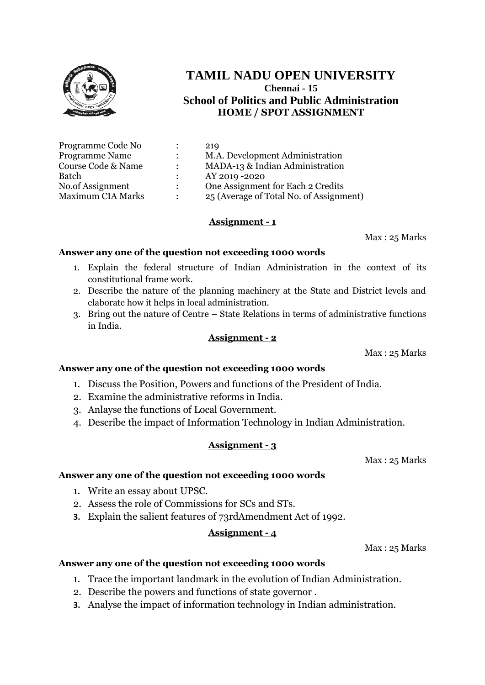

| Programme Code No        |               | 219                                     |
|--------------------------|---------------|-----------------------------------------|
| <b>Programme Name</b>    |               | M.A. Development Administration         |
| Course Code & Name       | $\bullet$     | MADA-13 & Indian Administration         |
| Batch                    |               | AY 2019 - 2020                          |
| No.of Assignment         | $\mathcal{L}$ | One Assignment for Each 2 Credits       |
| <b>Maximum CIA Marks</b> |               | 25 (Average of Total No. of Assignment) |

### **Assignment - 1**

Max : 25 Marks

#### **Answer any one of the question not exceeding 1000 words**

- 1. Explain the federal structure of Indian Administration in the context of its constitutional frame work.
- 2. Describe the nature of the planning machinery at the State and District levels and elaborate how it helps in local administration.
- 3. Bring out the nature of Centre State Relations in terms of administrative functions in India.

#### **Assignment - 2**

Max : 25 Marks

#### **Answer any one of the question not exceeding 1000 words**

- 1. Discuss the Position, Powers and functions of the President of India.
- 2. Examine the administrative reforms in India.
- 3. Anlayse the functions of Local Government.
- 4. Describe the impact of Information Technology in Indian Administration.

#### **Assignment - 3**

Max : 25 Marks

#### **Answer any one of the question not exceeding 1000 words**

- 1. Write an essay about UPSC.
- 2. Assess the role of Commissions for SCs and STs.
- **3.** Explain the salient features of 73rdAmendment Act of 1992.

#### **Assignment - 4**

Max : 25 Marks

- 1. Trace the important landmark in the evolution of Indian Administration.
- 2. Describe the powers and functions of state governor .
- **3.** Analyse the impact of information technology in Indian administration.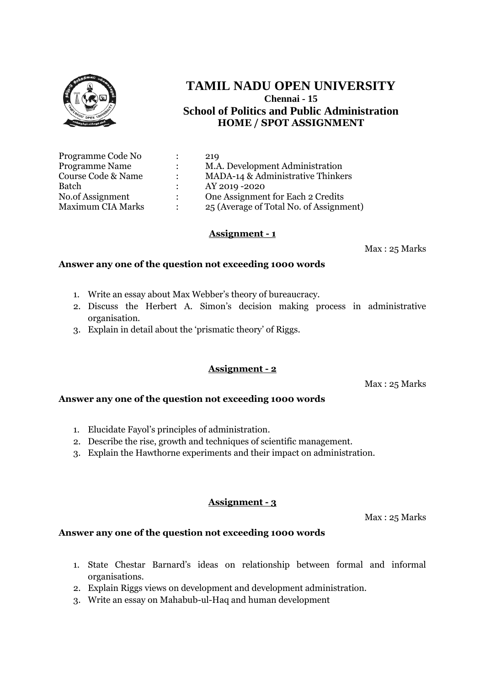

| Programme Code No        |                      | 219                                     |
|--------------------------|----------------------|-----------------------------------------|
| <b>Programme Name</b>    | $\ddot{\phantom{0}}$ | M.A. Development Administration         |
| Course Code & Name       |                      | MADA-14 & Administrative Thinkers       |
| Batch                    |                      | AY 2019 - 2020                          |
| No.of Assignment         | $\mathcal{L}$        | One Assignment for Each 2 Credits       |
| <b>Maximum CIA Marks</b> | ٠                    | 25 (Average of Total No. of Assignment) |

#### **Assignment - 1**

Max : 25 Marks

#### **Answer any one of the question not exceeding 1000 words**

- 1. Write an essay about Max Webber's theory of bureaucracy.
- 2. Discuss the Herbert A. Simon's decision making process in administrative organisation.
- 3. Explain in detail about the 'prismatic theory' of Riggs.

#### **Assignment - 2**

Max : 25 Marks

#### **Answer any one of the question not exceeding 1000 words**

- 1. Elucidate Fayol's principles of administration.
- 2. Describe the rise, growth and techniques of scientific management.
- 3. Explain the Hawthorne experiments and their impact on administration.

#### **Assignment - 3**

Max : 25 Marks

- 1. State Chestar Barnard's ideas on relationship between formal and informal organisations.
- 2. Explain Riggs views on development and development administration.
- 3. Write an essay on Mahabub-ul-Haq and human development